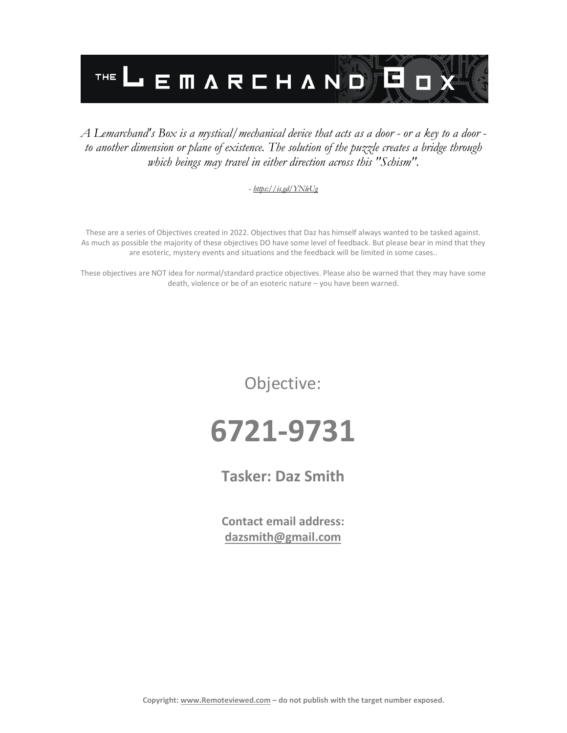

#### *A Lemarchand's Box is a mystical/mechanical device that acts as a door - or a key to a door to another dimension or plane of existence. The solution of the puzzle creates a bridge through which beings may travel in either direction across this "Schism".*

#### *- <https://is.gd/YNleUg>*

These are a series of Objectives created in 2022. Objectives that Daz has himself always wanted to be tasked against. As much as possible the majority of these objectives DO have some level of feedback. But please bear in mind that they are esoteric, mystery events and situations and the feedback will be limited in some cases..

These objectives are NOT idea for normal/standard practice objectives. Please also be warned that they may have some death, violence or be of an esoteric nature – you have been warned.

Objective:

## **6721-9731**

**Tasker: Daz Smith**

**Contact email address: [dazsmith@gmail.com](mailto:dazsmith@gmail.com)**